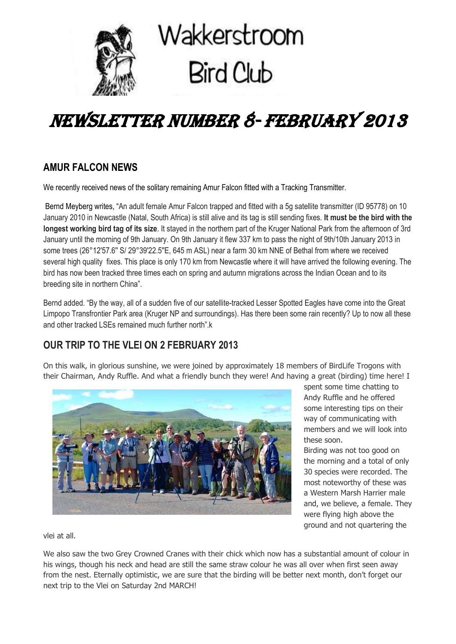

# NEWSLETTER NUMBER 8- FEBRUARY 2013

# **AMUR FALCON NEWS**

We recently received news of the solitary remaining Amur Falcon fitted with a Tracking Transmitter.

Bernd Meyberg writes, "An adult female Amur Falcon trapped and fitted with a 5g satellite transmitter (ID 95778) on 10 January 2010 in Newcastle (Natal, South Africa) is still alive and its tag is still sending fixes. **It must be the bird with the longest working bird tag of its size**. It stayed in the northern part of the Kruger National Park from the afternoon of 3rd January until the morning of 9th January. On 9th January it flew 337 km to pass the night of 9th/10th January 2013 in some trees (26°12'57.6'' S/ 29°39'22.5''E, 645 m ASL) near a farm 30 km NNE of Bethal from where we received several high quality fixes. This place is only 170 km from Newcastle where it will have arrived the following evening. The bird has now been tracked three times each on spring and autumn migrations across the Indian Ocean and to its breeding site in northern China".

Bernd added. "By the way, all of a sudden five of our satellite-tracked Lesser Spotted Eagles have come into the Great Limpopo Transfrontier Park area (Kruger NP and surroundings). Has there been some rain recently? Up to now all these and other tracked LSEs remained much further north" k

# **OUR TRIP TO THE VLEI ON 2 FEBRUARY 2013**

On this walk, in glorious sunshine, we were joined by approximately 18 members of BirdLife Trogons with their Chairman, Andy Ruffle. And what a friendly bunch they were! And having a great (birding) time here! I



spent some time chatting to Andy Ruffle and he offered some interesting tips on their way of communicating with members and we will look into these soon.

Birding was not too good on the morning and a total of only 30 species were recorded. The most noteworthy of these was a Western Marsh Harrier male and, we believe, a female. They were flying high above the ground and not quartering the

vlei at all.

We also saw the two Grey Crowned Cranes with their chick which now has a substantial amount of colour in his wings, though his neck and head are still the same straw colour he was all over when first seen away from the nest. Eternally optimistic, we are sure that the birding will be better next month, don't forget our next trip to the Vlei on Saturday 2nd MARCH!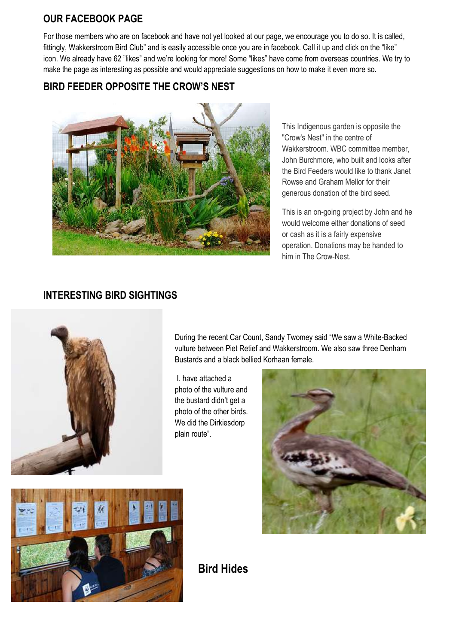### **OUR FACEBOOK PAGE**

For those members who are on facebook and have not yet looked at our page, we encourage you to do so. It is called, fittingly, Wakkerstroom Bird Club" and is easily accessible once you are in facebook. Call it up and click on the "like" icon. We already have 62 "likes" and we're looking for more! Some "likes" have come from overseas countries. We try to make the page as interesting as possible and would appreciate suggestions on how to make it even more so.

# **BIRD FEEDER OPPOSITE THE CROW'S NEST**



This Indigenous garden is opposite the "Crow's Nest" in the centre of Wakkerstroom. WBC committee member. John Burchmore, who built and looks after the Bird Feeders would like to thank Janet Rowse and Graham Mellor for their generous donation of the bird seed.

This is an on-going project by John and he would welcome either donations of seed or cash as it is a fairly expensive operation. Donations may be handed to him in The Crow-Nest.

# **INTERESTING BIRD SIGHTINGS**



During the recent Car Count, Sandy Twomey said "We saw a White-Backed vulture between Piet Retief and Wakkerstroom. We also saw three Denham Bustards and a black bellied Korhaan female.

I. have attached a photo of the vulture and the bustard didn't get a photo of the other birds. We did the Dirkiesdorp plain route".





**Bird Hides**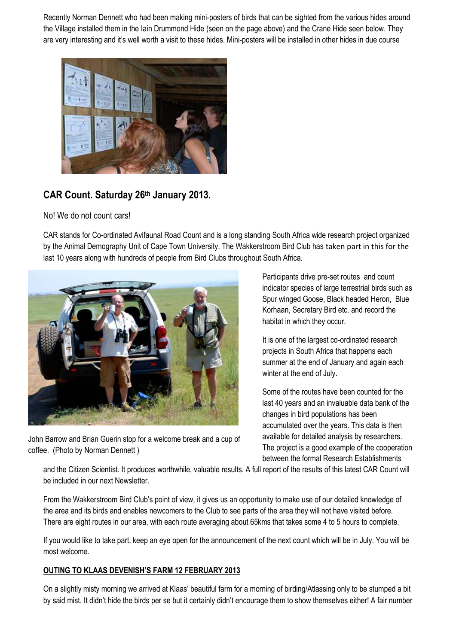Recently Norman Dennett who had been making mini-posters of birds that can be sighted from the various hides around the Village installed them in the Iain Drummond Hide (seen on the page above) and the Crane Hide seen below. They are very interesting and it's well worth a visit to these hides. Mini-posters will be installed in other hides in due course



# **CAR Count. Saturday 26th January 2013.**

No! We do not count cars!

CAR stands for Co-ordinated Avifaunal Road Count and is a long standing South Africa wide research project organized by the Animal Demography Unit of Cape Town University. The Wakkerstroom Bird Club has taken part in this for the last 10 years along with hundreds of people from Bird Clubs throughout South Africa.



John Barrow and Brian Guerin stop for a welcome break and a cup of coffee. (Photo by Norman Dennett )

Participants drive pre-set routes and count indicator species of large terrestrial birds such as Spur winged Goose, Black headed Heron, Blue Korhaan, Secretary Bird etc. and record the habitat in which they occur.

It is one of the largest co-ordinated research projects in South Africa that happens each summer at the end of January and again each winter at the end of July.

Some of the routes have been counted for the last 40 years and an invaluable data bank of the changes in bird populations has been accumulated over the years. This data is then available for detailed analysis by researchers. The project is a good example of the cooperation between the formal Research Establishments

and the Citizen Scientist. It produces worthwhile, valuable results. A full report of the results of this latest CAR Count will be included in our next Newsletter.

From the Wakkerstroom Bird Club's point of view, it gives us an opportunity to make use of our detailed knowledge of the area and its birds and enables newcomers to the Club to see parts of the area they will not have visited before. There are eight routes in our area, with each route averaging about 65kms that takes some 4 to 5 hours to complete.

If you would like to take part, keep an eye open for the announcement of the next count which will be in July. You will be most welcome.

### **OUTING TO KLAAS DEVENISH'S FARM 12 FEBRUARY 2013**

On a slightly misty morning we arrived at Klaas' beautiful farm for a morning of birding/Atlassing only to be stumped a bit by said mist. It didn't hide the birds per se but it certainly didn't encourage them to show themselves either! A fair number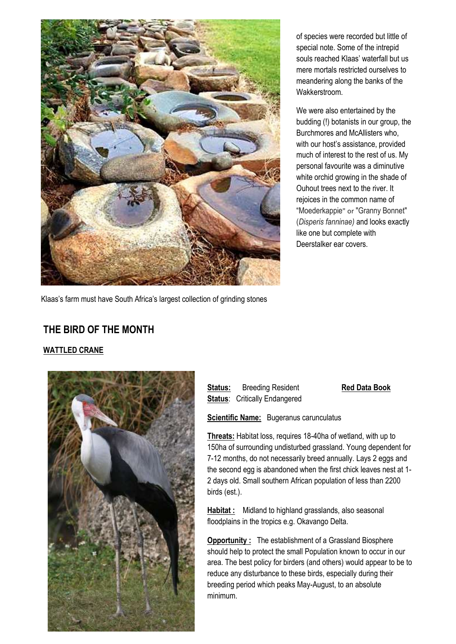

of species were recorded but little of special note. Some of the intrepid souls reached Klaas' waterfall but us mere mortals restricted ourselves to meandering along the banks of the Wakkerstroom.

We were also entertained by the budding (!) botanists in our group, the Burchmores and McAllisters who, with our host's assistance, provided much of interest to the rest of us. My personal favourite was a diminutive white orchid growing in the shade of Ouhout trees next to the river. It rejoices in the common name of "Moederkappie" or "Granny Bonnet" (*Disperis fanninae)* and looks exactly like one but complete with Deerstalker ear covers.

Klaas's farm must have South Africa's largest collection of grinding stones

# **THE BIRD OF THE MONTH**

### **WATTLED CRANE**



**Status:** Breeding Resident **Red Data Book Status: Critically Endangered** 

**Scientific Name:** Bugeranus carunculatus

**Threats:** Habitat loss, requires 18-40ha of wetland, with up to 150ha of surrounding undisturbed grassland. Young dependent for 7-12 months, do not necessarily breed annually. Lays 2 eggs and the second egg is abandoned when the first chick leaves nest at 1- 2 days old. Small southern African population of less than 2200 birds (est.).

**Habitat :** Midland to highland grasslands, also seasonal floodplains in the tropics e.g. Okavango Delta.

**Opportunity :** The establishment of a Grassland Biosphere should help to protect the small Population known to occur in our area. The best policy for birders (and others) would appear to be to reduce any disturbance to these birds, especially during their breeding period which peaks May-August, to an absolute minimum.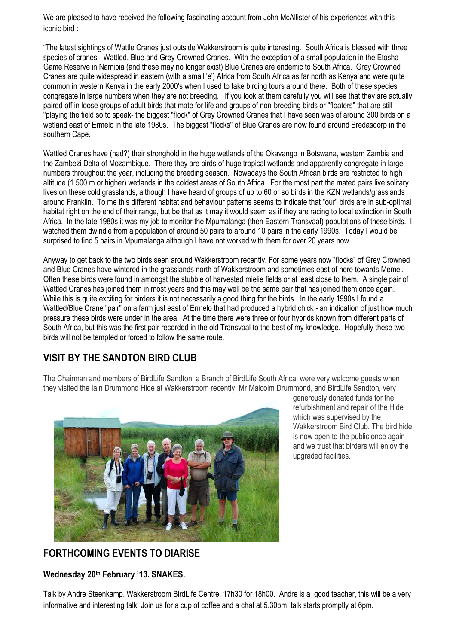We are pleased to have received the following fascinating account from John McAllister of his experiences with this iconic bird :

"The latest sightings of Wattle Cranes just outside Wakkerstroom is quite interesting. South Africa is blessed with three species of cranes - Wattled, Blue and Grey Crowned Cranes. With the exception of a small population in the Etosha Game Reserve in Namibia (and these may no longer exist) Blue Cranes are endemic to South Africa. Grey Crowned Cranes are quite widespread in eastern (with a small 'e') Africa from South Africa as far north as Kenya and were quite common in western Kenya in the early 2000's when I used to take birding tours around there. Both of these species congregate in large numbers when they are not breeding. If you look at them carefully you will see that they are actually paired off in loose groups of adult birds that mate for life and groups of non-breeding birds or "floaters" that are still "playing the field so to speak- the biggest "flock" of Grey Crowned Cranes that I have seen was of around 300 birds on a wetland east of Ermelo in the late 1980s. The biggest "flocks" of Blue Cranes are now found around Bredasdorp in the southern Cape.

Wattled Cranes have (had?) their stronghold in the huge wetlands of the Okavango in Botswana, western Zambia and the Zambezi Delta of Mozambique. There they are birds of huge tropical wetlands and apparently congregate in large numbers throughout the year, including the breeding season. Nowadays the South African birds are restricted to high altitude (1 500 m or higher) wetlands in the coldest areas of South Africa. For the most part the mated pairs live solitary lives on these cold grasslands, although I have heard of groups of up to 60 or so birds in the KZN wetlands/grasslands around Franklin. To me this different habitat and behaviour patterns seems to indicate that "our" birds are in sub-optimal habitat right on the end of their range, but be that as it may it would seem as if they are racing to local extinction in South Africa. In the late 1980s it was my job to monitor the Mpumalanga (then Eastern Transvaal) populations of these birds. I watched them dwindle from a population of around 50 pairs to around 10 pairs in the early 1990s. Today I would be surprised to find 5 pairs in Mpumalanga although I have not worked with them for over 20 years now.

Anyway to get back to the two birds seen around Wakkerstroom recently. For some years now "flocks" of Grey Crowned and Blue Cranes have wintered in the grasslands north of Wakkerstroom and sometimes east of here towards Memel. Often these birds were found in amongst the stubble of harvested mielie fields or at least close to them. A single pair of Wattled Cranes has joined them in most years and this may well be the same pair that has joined them once again. While this is quite exciting for birders it is not necessarily a good thing for the birds. In the early 1990s I found a Wattled/Blue Crane "pair" on a farm just east of Ermelo that had produced a hybrid chick - an indication of just how much pressure these birds were under in the area. At the time there were three or four hybrids known from different parts of South Africa, but this was the first pair recorded in the old Transvaal to the best of my knowledge. Hopefully these two birds will not be tempted or forced to follow the same route.

### **VISIT BY THE SANDTON BIRD CLUB**

The Chairman and members of BirdLife Sandton, a Branch of BirdLife South Africa, were very welcome guests when they visited the Iain Drummond Hide at Wakkerstroom recently. Mr Malcolm Drummond, and BirdLife Sandton, very



generously donated funds for the refurbishment and repair of the Hide which was supervised by the Wakkerstroom Bird Club. The bird hide is now open to the public once again and we trust that birders will enjoy the upgraded facilities.

# **FORTHCOMING EVENTS TO DIARISE**

**Wednesday 20th February '13. SNAKES.** 

Talk by Andre Steenkamp. Wakkerstroom BirdLife Centre. 17h30 for 18h00. Andre is a good teacher, this will be a very informative and interesting talk. Join us for a cup of coffee and a chat at 5.30pm, talk starts promptly at 6pm.